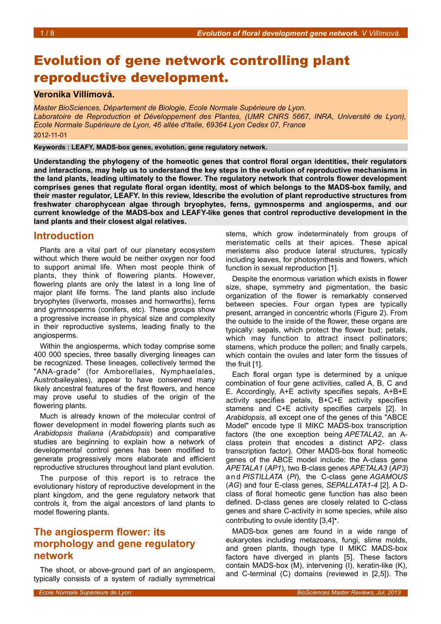# Evolution of gene network controlling plant reproductive development.

### **Veronika Villimová.**

*Master BioSciences, Département de Biologie, Ecole Normale Supérieure de Lyon. Laboratoire de Reproduction et Développement des Plantes, (UMR CNRS 5667, INRA, Université de Lyon), Ecole Normale Supérieure de Lyon, 46 allée d'Italie, 69364 Lyon Cedex 07, France* 2012-11-01

**Keywords : LEAFY, MADS-box genes, evolution, gene regulatory network.**

**Understanding the phylogeny of the homeotic genes that control floral organ identities, their regulators and interactions, may help us to understand the key steps in the evolution of reproductive mechanisms in the land plants, leading ultimately to the flower. The regulatory network that controls flower development comprises genes that regulate floral organ identity, most of which belongs to the MADS-box family, and their master regulator, LEAFY. In this review, Idescribe the evolution of plant reproductive structures from freshwater charophycean algae through bryophytes, ferns, gymnosperms and angiosperms, and our current knowledge of the MADS-box and LEAFY-like genes that control reproductive development in the land plants and their closest algal relatives.** 

### **Introduction**

Plants are a vital part of our planetary ecosystem without which there would be neither oxygen nor food to support animal life. When most people think of plants, they think of flowering plants. However, flowering plants are only the latest in a long line of major plant life forms. The land plants also include bryophytes (liverworts, mosses and hornworths), ferns and gymnosperms (conifers, etc). These groups show a progressive increase in physical size and complexity in their reproductive systems, leading finally to the angiosperms.

Within the angiosperms, which today comprise some 400 000 species, three basally diverging lineages can be recognized. These lineages, collectively termed the "ANA-grade" (for Amborellales, Nymphaelales, Austrobaileyales), appear to have conserved many likely ancestral features of the first flowers, and hence may prove useful to studies of the origin of the flowering plants.

Much is already known of the molecular control of flower development in model flowering plants such as *Arabidopsis thaliana* (*Arabidopsis*) and comparative studies are beginning to explain how a network of developmental control genes has been modified to generate progressively more elaborate and efficient reproductive structures throughout land plant evolution.

The purpose of this report is to retrace the evolutionary history of reproductive development in the plant kingdom, and the gene regulatory network that controls it, from the algal ancestors of land plants to model flowering plants.

## **The angiosperm flower: its morphology and gene regulatory network**

The shoot, or above-ground part of an angiosperm, typically consists of a system of radially symmetrical

stems, which grow indeterminately from groups of meristematic cells at their apices. These apical meristems also produce lateral structures, typically including leaves, for photosynthesis and flowers, which function in sexual reproduction [1].

Despite the enormous variation which exists in flower size, shape, symmetry and pigmentation, the basic organization of the flower is remarkably conserved between species. Four organ types are typically present, arranged in concentric whorls (Figure [2\)](#page-1-0). From the outside to the inside of the flower, these organs are typically: sepals, which protect the flower bud; petals, which may function to attract insect pollinators; stamens, which produce the pollen; and finally carpels, which contain the ovules and later form the tissues of the fruit [1].

Each floral organ type is determined by a unique combination of four gene activities, called A, B, C and E. Accordingly, A+E activity specifies sepals, A+B+E activity specifies petals, B+C+E activity specifies stamens and C+E activity specifies carpels [2]. In *Arabidopsis*, all except one of the genes of this "ABCE Model" encode type II MIKC MADS-box transcription factors (the one exception being *APETALA2*, an Aclass protein that encodes a distinct AP2- class transcription factor). Other MADS-box floral homeotic genes of the ABCE model include: the A-class gene *APETALA1* (*AP1*), two B-class genes *APETALA3* (*AP3*) a n d *PISTILLATA* (*PI*), the C-class gene *AGAMOUS* (*AG*) and four E-class genes, *SEPALLATA1-4* [2]. A Dclass of floral homeotic gene function has also been defined. D-class genes are closely related to C-class genes and share C-activity in some species, while also contributing to ovule identity [3,4]•.

MADS-box genes are found in a wide range of eukaryotes including metazoans, fungi, slime molds, and green plants, though type II MIKC MADS-box factors have diverged in plants [5]. These factors contain MADS-box (M), intervening (I), keratin-like (K), and C-terminal (C) domains (reviewed in [2,5]). The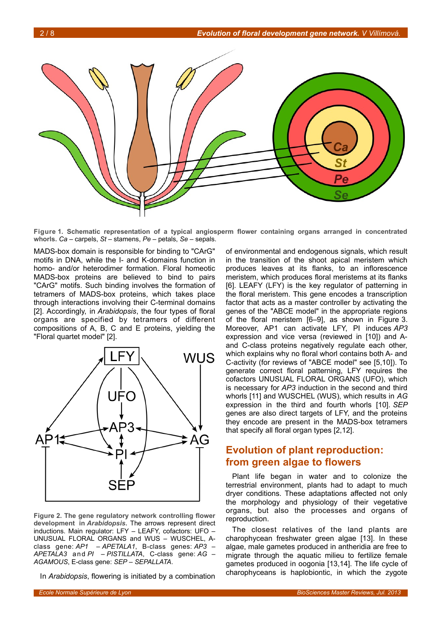

**Figure 1. Schematic representation of a typical angiosperm flower containing organs arranged in concentrated whorls.** *Ca* – carpels, *St* – stamens, *Pe* – petals, *Se* – sepals.

<span id="page-1-1"></span>MADS-box domain is responsible for binding to "CArG" motifs in DNA, while the I- and K-domains function in homo- and/or heterodimer formation. Floral homeotic MADS-box proteins are believed to bind to pairs "CArG" motifs. Such binding involves the formation of tetramers of MADS-box proteins, which takes place through interactions involving their C-terminal domains [2]. Accordingly, in *Arabidopsis*, the four types of floral organs are specified by tetramers of different compositions of A, B, C and E proteins, yielding the "Floral quartet model" [2].



<span id="page-1-0"></span>**Figure 2. The gene regulatory network controlling flower development in** *Arabidopsis***.** The arrows represent direct inductions. Main regulator: LFY – LEAFY, cofactors: UFO – UNUSUAL FLORAL ORGANS and WUS – WUSCHEL, Aclass gene: *AP1* – *APETALA1*, B-class genes: *AP3* – *APETALA3* and *PI* – *PISTILLATA*, C-class gene: *AG* – *AGAMOUS*, E-class gene: *SEP* – *SEPALLATA*.

In *Arabidopsis*, flowering is initiated by a combination

of environmental and endogenous signals, which result in the transition of the shoot apical meristem which produces leaves at its flanks, to an inflorescence meristem, which produces floral meristems at its flanks [6]. LEAFY (LFY) is the key regulator of patterning in the floral meristem. This gene encodes a transcription factor that acts as a master controller by activating the genes of the "ABCE model" in the appropriate regions of the floral meristem [6–9], as shown in Figure [3.](#page-4-0) Moreover, AP1 can activate LFY, PI induces *AP3* expression and vice versa (reviewed in [10]) and Aand C-class proteins negatively regulate each other, which explains why no floral whorl contains both A- and C-activity (for reviews of "ABCE model" see [5,10]). To generate correct floral patterning, LFY requires the cofactors UNUSUAL FLORAL ORGANS (UFO), which is necessary for *AP3* induction in the second and third whorls [11] and WUSCHEL (WUS), which results in *AG* expression in the third and fourth whorls [10]. *SEP* genes are also direct targets of LFY, and the proteins they encode are present in the MADS-box tetramers that specify all floral organ types [2,12].

## **Evolution of plant reproduction: from green algae to flowers**

Plant life began in water and to colonize the terrestrial environment, plants had to adapt to much dryer conditions. These adaptations affected not only the morphology and physiology of their vegetative organs, but also the processes and organs of reproduction.

The closest relatives of the land plants are charophycean freshwater green algae [13]. In these algae, male gametes produced in antheridia are free to migrate through the aquatic milieu to fertilize female gametes produced in oogonia [13,14]. The life cycle of charophyceans is haplobiontic, in which the zygote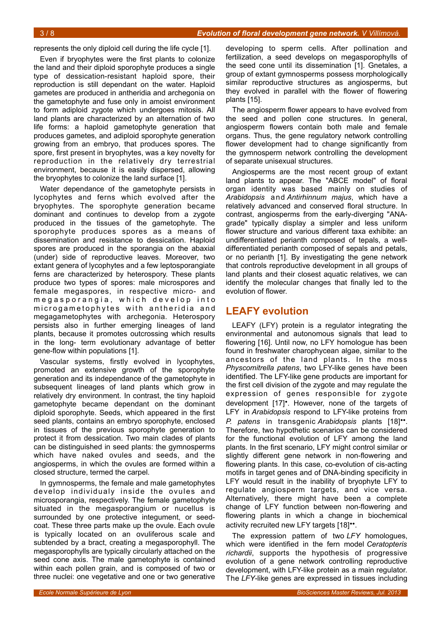represents the only diploid cell during the life cycle [1].

Even if bryophytes were the first plants to colonize the land and their diploid sporophyte produces a single type of dessication-resistant haploid spore, their reproduction is still dependant on the water. Haploid gametes are produced in antheridia and archegonia on the gametophyte and fuse only in amoist environment to form adiploid zygote which undergoes mitosis. All land plants are characterized by an alternation of two life forms: a haploid gametophyte generation that produces gametes, and adiploid sporophyte generation growing from an embryo, that produces spores. The spore, first present in bryophytes, was a key novelty for reproduction in the relatively dry terrestrial environment, because it is easily dispersed, allowing the bryophytes to colonize the land surface [1].

Water dependance of the gametophyte persists in lycophytes and ferns which evolved after the bryophytes. The sporophyte generation became dominant and continues to develop from a zygote produced in the tissues of the gametophyte. The sporophyte produces spores as a means of dissemination and resistance to dessication. Haploid spores are produced in the sporangia on the abaxial (under) side of reproductive leaves. Moreover, two extant genera of lycophytes and a few leptosporangiate ferns are characterized by heterospory. These plants produce two types of spores: male microspores and female megaspores, in respective micro- and megasporangia, which develop into microgametophytes with antheridia and megagametophytes with archegonia. Heterospory persists also in further emerging lineages of land plants, because it promotes outcrossing which results in the long- term evolutionary advantage of better gene-flow within populations [1].

Vascular systems, firstly evolved in lycophytes, promoted an extensive growth of the sporophyte generation and its independance of the gametophyte in subsequent lineages of land plants which grow in relatively dry environment. In contrast, the tiny haploid gametophyte became dependant on the dominant diploid sporophyte. Seeds, which appeared in the first seed plants, contains an embryo sporophyte, enclosed in tissues of the previous sporophyte generation to protect it from dessication. Two main clades of plants can be distinguished in seed plants: the gymnosperms which have naked ovules and seeds, and the angiosperms, in which the ovules are formed within a closed structure, termed the carpel.

In gymnosperms, the female and male gametophytes develop individualy inside the ovules and microsporangia, respectively. The female gametophyte situated in the megasporangium or nucellus is surrounded by one protective integument, or seedcoat. These three parts make up the ovule. Each ovule is typically located on an ovuliferous scale and subtended by a bract, creating a megasporophyll. The megasporophylls are typically circularly attached on the seed cone axis. The male gametophyte is contained within each pollen grain, and is composed of two or three nuclei: one vegetative and one or two generative

developing to sperm cells. After pollination and fertilization, a seed develops on megasporophylls of the seed cone until its dissemination [1]. Gnetales, a group of extant gymnosperms possess morphologically similar reproductive structures as angiosperms, but they evolved in parallel with the flower of flowering plants [15].

The angiosperm flower appears to have evolved from the seed and pollen cone structures. In general, angiosperm flowers contain both male and female organs. Thus, the gene regulatory network controlling flower development had to change significantly from the gymnosperm network controlling the development of separate unisexual structures.

Angiosperms are the most recent group of extant land plants to appear. The "ABCE model" of floral organ identity was based mainly on studies of *Arabidopsis* and *Antirhinnum majus*, which have a relatively advanced and conserved floral structure. In contrast, angiosperms from the early-diverging "ANAgrade" typically display a simpler and less uniform flower structure and various different taxa exhibite: an undifferentiated perianth composed of tepals, a welldifferentiated perianth composed of sepals and petals, or no perianth [1]. By investigating the gene network that controls reproductive development in all groups of land plants and their closest aquatic relatives, we can identify the molecular changes that finally led to the evolution of flower.

## **LEAFY evolution**

LEAFY (LFY) protein is a regulator integrating the environmental and autonomous signals that lead to flowering [16]. Until now, no LFY homologue has been found in freshwater charophycean algae, similar to the ancestors of the land plants. In the moss *Physcomitrella patens*, two LFY-like genes have been identified. The LFY-like gene products are important for the first cell division of the zygote and may regulate the expression of genes responsible for zygote development [17]•. However, none of the targets of LFY in *Arabidopsis* respond to LFY-like proteins from *P. patens* in transgenic *Arabidopsis* plants [18]••. Therefore, two hypothetic scenarios can be considered for the functional evolution of LFY among the land plants. In the first scenario, LFY might control similar or slightly different gene network in non-flowering and flowering plants. In this case, co-evolution of cis-acting motifs in target genes and of DNA-binding specificity in LFY would result in the inability of bryophyte LFY to regulate angiosperm targets, and vice versa. Alternatively, there might have been a complete change of LFY function between non-flowering and flowering plants in which a change in biochemical activity recruited new LFY targets [18]••.

The expression pattern of two *LFY* homologues, which were identified in the fern model *Ceratopteris richardii*, supports the hypothesis of progressive evolution of a gene network controlling reproductive development, with LFY-like protein as a main regulator. The *LFY*-like genes are expressed in tissues including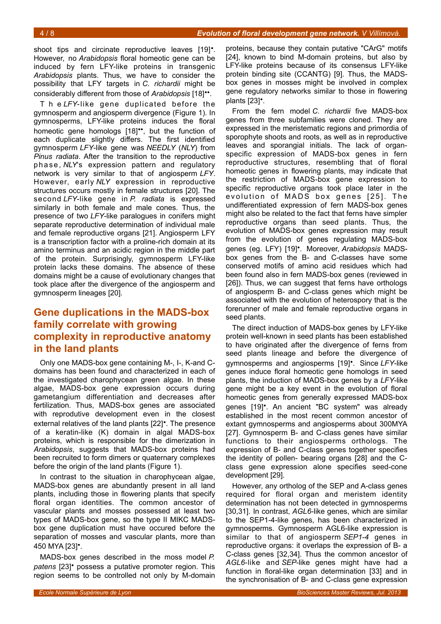shoot tips and circinate reproductive leaves [19]<sup>•</sup>. However, no *Arabidopsis* floral homeotic gene can be induced by fern LFY-like proteins in transgenic *Arabidopsis* plants. Thus, we have to consider the possibility that LFY targets in *C. richardii* might be considerably different from those of *Arabidopsis* [18]••.

T h e *LFY*-like gene duplicated before the gymnosperm and angiosperm divergence (Figure [1\)](#page-1-1). In gymnosperms, LFY-like proteins induces the floral homeotic gene homologs [18]<sup>••</sup>, but the function of each duplicate slightly differs. The first identified gymnosperm *LFY*-like gene was *NEEDLY* (*NLY*) from *Pinus radiata*. After the transition to the reproductive phase, *NLY*'s expression pattern and regulatory network is very similar to that of angiosperm *LFY*. However, early *NLY* expression in reproductive structures occurs mostly in female structures [20]. The second *LFY*-like gene in *P. radiata* is expressed similarly in both female and male cones. Thus, the presence of two *LFY*-like paralogues in conifers might separate reproductive determination of individual male and female reproductive organs [21]. Angiosperm LFY is a transcription factor with a proline-rich domain at its amino terminus and an acidic region in the middle part of the protein. Surprisingly, gymnosperm LFY-like protein lacks these domains. The absence of these domains might be a cause of evolutionary changes that took place after the divergence of the angiosperm and gymnosperm lineages [20].

## **Gene duplications in the MADS-box family correlate with growing complexity in reproductive anatomy in the land plants**

Only one MADS-box gene containing M-, I-, K-and Cdomains has been found and characterized in each of the investigated charophycean green algae. In these algae, MADS-box gene expression occurs during gametangium differentiation and decreases after fertilization. Thus, MADS-box genes are associated with reprodutive development even in the closest external relatives of the land plants [22]•. The presence of a keratin-like (K) domain in algal MADS-box proteins, which is responsible for the dimerization in *Arabidopsis*, suggests that MADS-box proteins had been recruited to form dimers or quaternary complexes before the origin of the land plants (Figure [1\)](#page-1-1).

In contrast to the situation in charophycean algae, MADS-box genes are abundantly present in all land plants, including those in flowering plants that specify floral organ identities. The common ancestor of vascular plants and mosses possessed at least two types of MADS-box gene, so the type II MIKC MADSbox gene duplication must have occured before the separation of mosses and vascular plants, more than 450 MYA [23]•.

MADS-box genes described in the moss model *P. patens* [23]• possess a putative promoter region. This region seems to be controlled not only by M-domain

proteins, because they contain putative "CArG" motifs [24], known to bind M-domain proteins, but also by LFY-like proteins because of its consensus LFY-like protein binding site (CCANTG) [9]. Thus, the MADSbox genes in mosses might be involved in complex gene regulatory networks similar to those in flowering plants [23]•.

From the fern model *C. richardii* five MADS-box genes from three subfamilies were cloned. They are expressed in the meristematic regions and primordia of sporophyte shoots and roots, as well as in reproductive leaves and sporangial initials. The lack of organspecific expression of MADS-box genes in fern reproductive structures, resembling that of floral homeotic genes in flowering plants, may indicate that the restriction of MADS-box gene expression to specific reproductive organs took place later in the evolution of MADS box genes [25]. The undifferentiated expression of fern MADS-box genes might also be related to the fact that ferns have simpler reproductive organs than seed plants. Thus, the evolution of MADS-box genes expression may result from the evolution of genes regulating MADS-box genes (eg. LFY) [19]•. Moreover, *Arabidopsis* MADSbox genes from the B- and C-classes have some conserved motifs of amino acid residues which had been found also in fern MADS-box genes (reviewed in [26]). Thus, we can suggest that ferns have orthologs of angiosperm B- and C-class genes which might be associated with the evolution of heterospory that is the forerunner of male and female reproductive organs in seed plants.

The direct induction of MADS-box genes by LFY-like protein well-known in seed plants has been established to have originated after the divergence of ferns from seed plants lineage and before the divergence of gymnosperms and angiosperms [19]•. Since *LFY*-like genes induce floral homeotic gene homologs in seed plants, the induction of MADS-box genes by a *LFY*-like gene might be a key event in the evolution of floral homeotic genes from generally expressed MADS-box genes [19]•. An ancient "BC system" was already established in the most recent common ancestor of extant gymnosperms and angiosperms about 300MYA [27]. Gymnosperm B- and C-class genes have similar functions to their angiosperms orthologs. The expression of B- and C-class genes together specifies the identity of pollen- bearing organs [28] and the Cclass gene expression alone specifies seed-cone development [29].

However, any ortholog of the SEP and A-class genes required for floral organ and meristem identity determination has not been detected in gymnosperms [30,31]. In contrast, *AGL6*-like genes, which are similar to the SEP1-4-like genes, has been characterized in gymnosperms. Gymnosperm AGL6-like expression is similar to that of angiosperm *SEP1-4* genes in reproductive organs: it overlaps the expression of B- a C-class genes [32,34]. Thus the common ancestor of *AGL6*-like and *SEP*-like genes might have had a function in floral-like organ determination [33] and in the synchronisation of B- and C-class gene expression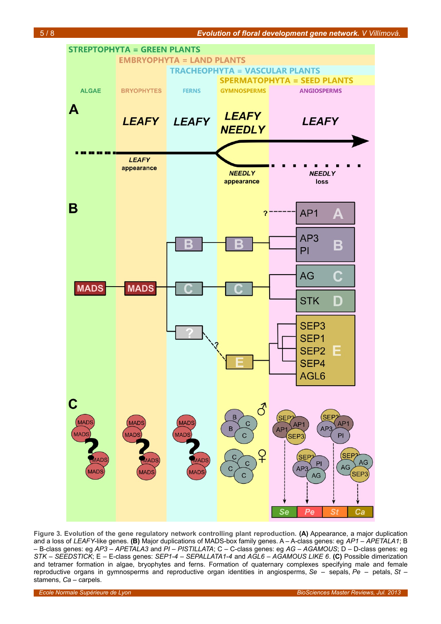

<span id="page-4-0"></span>**Figure 3. Evolution of the gene regulatory network controlling plant reproduction. (A)** Appearance, a major duplication and a loss of *LEAFY*-like genes. **(B)** Major duplications of MADS-box family genes. A – A-class genes: eg *AP1* – *APETALA1*; B – B-class genes: eg *AP3* – *APETALA3* and *PI* – *PISTILLATA*; C – C-class genes: eg *AG* – *AGAMOUS*; D – D-class genes: eg *STK* – *SEEDSTICK*; E – E-class genes: *SEP1-4* – *SEPALLATA1-4* and *AGL6* – *AGAMOUS LIKE 6*. **(C)** Possible dimerization and tetramer formation in algae, bryophytes and ferns. Formation of quaternary complexes specifying male and female reproductive organs in gymnosperms and reproductive organ identities in angiosperms, *Se* – sepals, *Pe* – petals, *St* – stamens, *Ca* – carpels.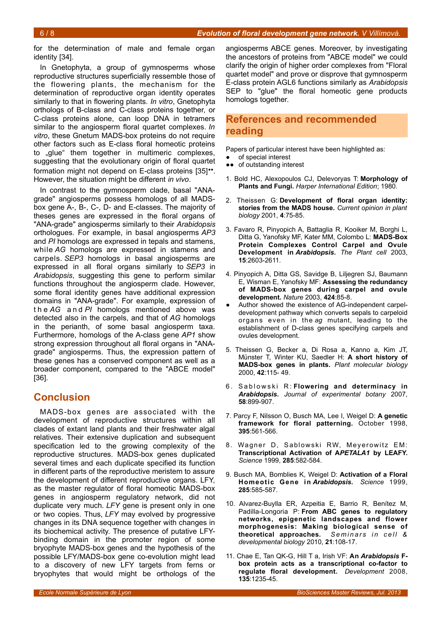for the determination of male and female organ identity [34].

In Gnetophyta, a group of gymnosperms whose reproductive structures superficially ressemble those of the flowering plants, the mechanism for the determination of reproductive organ identity operates similarly to that in flowering plants. *In vitro*, Gnetophyta orthologs of B-class and C-class proteins together, or C-class proteins alone, can loop DNA in tetramers similar to the angiosperm floral quartet complexes. *In vitro*, these Gnetum MADS-box proteins do not require other factors such as E-class floral homeotic proteins to "glue" them together in multimeric complexes, suggesting that the evolutionary origin of floral quartet formation might not depend on E-class proteins [35]<sup>\*\*</sup>. However, the situation might be different *in vivo*.

In contrast to the gymnosperm clade, basal "ANAgrade" angiosperms possess homologs of all MADSbox gene A-, B-, C-, D- and E-classes. The majority of theses genes are expressed in the floral organs of "ANA-grade" angiosperms similarly to their *Arabidopsis* orthologues. For example, in basal angiosperms *AP3* and *PI* homologs are expressed in tepals and stamens, while *AG* homologs are expressed in stamens and carpels. *SEP3* homologs in basal angiosperms are expressed in all floral organs similarly to *SEP3* in *Arabidopsis*, suggesting this gene to perform similar functions throughout the angiosperm clade. However, some floral identity genes have additional expression domains in "ANA-grade". For example, expression of t h e *AG* a n d *PI* homologs mentioned above was detected also in the carpels, and that of *AG* homologs in the perianth, of some basal angiosperm taxa. Furthermore, homologs of the A-class gene *AP1* show strong expression throughout all floral organs in "ANAgrade" angiosperms. Thus, the expression pattern of these genes has a conserved component as well as a broader component, compared to the "ABCE model" [36].

## **Conclusion**

MADS-box genes are associated with the development of reproductive structures within all clades of extant land plants and their freshwater algal relatives. Their extensive duplication and subsequent specification led to the growing complexity of the reproductive structures. MADS-box genes duplicated several times and each duplicate specified its function in different parts of the reproductive meristem to assure the development of different reproductive organs. LFY, as the master regulator of floral homeotic MADS-box genes in angiosperm regulatory network, did not duplicate very much. *LFY* gene is present only in one or two copies. Thus, *LFY* may evolved by progressive changes in its DNA sequence together with changes in its biochemical activity. The presence of putative LFYbinding domain in the promoter region of some bryophyte MADS-box genes and the hypothesis of the possible LFY/MADS-box gene co-evolution might lead to a discovery of new LFY targets from ferns or bryophytes that would might be orthologs of the

angiosperms ABCE genes. Moreover, by investigating the ancestors of proteins from "ABCE model" we could clarify the origin of higher order complexes from "Floral quartet model" and prove or disprove that gymnosperm E-class protein AGL6 functions similarly as *Arabidopsis* SEP to "glue" the floral homeotic gene products homologs together.

## **References and recommended reading**

Papers of particular interest have been highlighted as:

- of special interest
- ●● of outstanding interest
- 1. Bold HC, Alexopoulos CJ, Delevoryas T: **Morphology of Plants and Fungi.** *Harper International Edition*; 1980.
- 2. Theissen G: **Development of floral organ identity: stories from the MADS house.** *Current opinion in plant biology* 2001, **4**:75-85.
- 3. Favaro R, Pinyopich A, Battaglia R, Kooiker M, Borghi L, Ditta G, Yanofsky MF, Kater MM, Colombo L: **MADS-Box Protein Complexes Control Carpel and Ovule Development in** *Arabidopsis***.** *The Plant cell* 2003, **15**:2603-2611.
- 4. Pinyopich A, Ditta GS, Savidge B, Liljegren SJ, Baumann E, Wisman E, Yanofsky MF: **Assessing the redundancy of MADS-box genes during carpel and ovule development.** *Nature* 2003, **424**:85-8.
- Author showed the existence of AG-independent carpeldevelopment pathway which converts sepals to carpeloid organs even in the *ag* mutant, leading to the establishment of D-class genes specifying carpels and ovules development.
- 5. Theissen G, Becker a, Di Rosa a, Kanno a, Kim JT, Münster T, Winter KU, Saedler H: **A short history of MADS-box genes in plants.** *Plant molecular biology* 2000, **42**:115- 49.
- 6. Sablowski R: Flowering and determinacy in *Arabidopsis***.** *Journal of experimental botany* 2007, **58**:899-907.
- 7. Parcy F, Nilsson O, Busch MA, Lee I, Weigel D: **A genetic framework for floral patterning.** October 1998, **395**:561-566.
- 8. Wagner D, Sablowski RW, Meyerowitz EM: **Transcriptional Activation of A***PETALA1* **by LEAFY.** *Science* 1999, **285**:582-584.
- 9. Busch MA, Bomblies K, Weigel D: **Activation of a Floral Homeotic Gene in** *Arabidopsis***.** *Science* 1999, **285**:585-587.
- 10. Alvarez-Buylla ER, Azpeitia E, Barrio R, Benítez M, Padilla-Longoria P: **From ABC genes to regulatory networks, epigenetic landscapes and flower morphogenesis: Making biological sense of theoretical approaches.** *S e m i n a r s i n c e l l & developmental biology* 2010, **21**:108-17.
- 11. Chae E, Tan QK-G, Hill T a, Irish VF: **An** *Arabidopsis* **Fbox protein acts as a transcriptional co-factor to regulate floral development.** *Development* 2008, **135**:1235-45.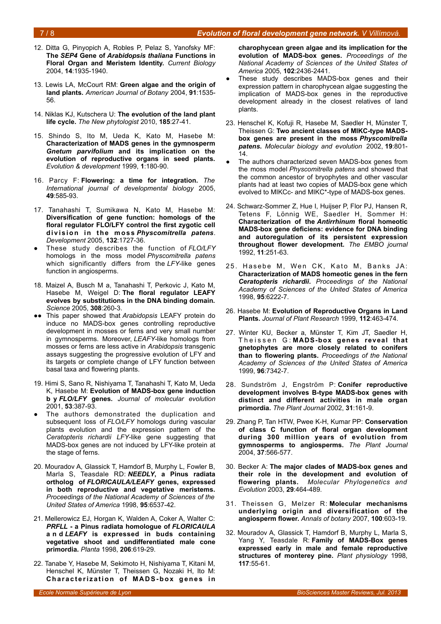#### 7 / 8 *Evolution of floral development gene network. V Villimová.*

- 12. Ditta G, Pinyopich A, Robles P, Pelaz S, Yanofsky MF: **The** *SEP4* **Gene of** *Arabidopsis thaliana* **Functions in Floral Organ and Meristem Identity.** *Current Biology* 2004, **14**:1935-1940.
- 13. Lewis LA, McCourt RM: **Green algae and the origin of land plants.** *American Journal of Botany* 2004, **91**:1535- 56.
- 14. Niklas KJ, Kutschera U: **The evolution of the land plant life cycle.** *The New phytologist* 2010, **185**:27-41.
- 15. Shindo S, Ito M, Ueda K, Kato M, Hasebe M: **Characterization of MADS genes in the gymnosperm** *Gnetum parvifolium* **and its implication on the evolution of reproductive organs in seed plants.** *Evolution & development* 1999, **1**:180-90.
- 16. Parcy F: **Flowering: a time for integration.** *The International journal of developmental biology* 2005, **49**:585-93.
- 17. Tanahashi T, Sumikawa N, Kato M, Hasebe M: **Diversification of gene function: homologs of the floral regulator FLO/LFY control the first zygotic cell** division in the moss *Physcomitrella patens*. *Development* 2005, **132**:1727-36.
- These study describes the function of **FLO/LFY** homologs in the moss model *Physcomitrella patens* which significantly differs from the *LFY*-like genes function in angiosperms.
- 18. Maizel A, Busch M a, Tanahashi T, Perkovic J, Kato M, Hasebe M, Weigel D: **The floral regulator LEAFY evolves by substitutions in the DNA binding domain.** *Science* 2005, **308**:260-3.
- This paper showed that *Arabidopsis* LEAFY protein do induce no MADS-box genes controlling reproductive development in mosses or ferns and very small number in gymnosperms. Moreover, *LEAFY*-like homologs from mosses or ferns are less active in *Arabidopsis* transgenic assays suggesting the progressive evolution of LFY and its targets or complete change of LFY function between basal taxa and flowering plants.
- 19. Himi S, Sano R, Nishiyama T, Tanahashi T, Kato M, Ueda K, Hasebe M: **Evolution of MADS-box gene induction b y** *FLO/LFY* **genes.** *Journal of molecular evolution* 2001, **53**:387-93.
- The authors demonstrated the duplication and subsequent loss of *FLO/LFY* homologs during vascular plants evolution and the expression pattern of the *Ceratopteris richardii LFY*-like gene suggesting that MADS-box genes are not induced by LFY-like protein at the stage of ferns.
- 20. Mouradov A, Glassick T, Hamdorf B, Murphy L, Fowler B, Marla S, Teasdale RD: *NEEDLY***, a Pinus radiata ortholog of** *FLORICAULA/LEAFY* **genes, expressed in both reproductive and vegetative meristems.** *Proceedings of the National Academy of Sciences of the United States of America* 1998, **95**:6537-42.
- 21. Mellerowicz EJ, Horgan K, Walden A, Coker A, Walter C: *PRFLL* **- a Pinus radiata homologue of** *FLORICAULA* **a n d** *LEAFY* **is expressed in buds containing vegetative shoot and undifferentiated male cone primordia.** *Planta* 1998, **206**:619-29.
- 22. Tanabe Y, Hasebe M, Sekimoto H, Nishiyama T, Kitani M, Henschel K, Münster T, Theissen G, Nozaki H, Ito M: **Characterization of MADS-box genes in**

**charophycean green algae and its implication for the evolution of MADS-box genes.** *Proceedings of the National Academy of Sciences of the United States of America* 2005, **102**:2436-2441.

- These study describes MADS-box genes and their expression pattern in charophycean algae suggesting the implication of MADS-box genes in the reproductive development already in the closest relatives of land plants.
- 23. Henschel K, Kofuji R, Hasebe M, Saedler H, Münster T, Theissen G: **Two ancient classes of MIKC-type MADSbox genes are present in the moss** *Physcomitrella patens***.** *Molecular biology and evolution* 2002, **19**:801- 14.
- The authors characterized seven MADS-box genes from the moss model *Physcomitrella patens* and showed that the common ancestor of bryophytes and other vascular plants had at least two copies of MADS-box gene which evolved to MIKCc- and MIKC\*-type of MADS-box genes.
- 24. Schwarz-Sommer Z, Hue I, Huijser P, Flor PJ, Hansen R, Tetens F, Lönnig WE, Saedler H, Sommer H: **Characterization of the** *Antirrhinum* **floral homeotic MADS-box gene deficiens: evidence for DNA binding and autoregulation of its persistent expression throughout flower development.** *The EMBO journal* 1992, **11**:251-63.
- 25. Hasebe M. Wen CK. Kato M. Banks JA: **Characterization of MADS homeotic genes in the fern** *Ceratopteris richardii***.** *Proceedings of the National Academy of Sciences of the United States of America* 1998, **95**:6222-7.
- 26. Hasebe M: **Evolution of Reproductive Organs in Land Plants.** *Journal of Plant Research* 1999, **112**:463-474.
- 27. Winter KU, Becker a, Münster T, Kim JT, Saedler H, Theissen G: MADS-box genes reveal that **gnetophytes are more closely related to conifers than to flowering plants.** *Proceedings of the National Academy of Sciences of the United States of America* 1999, **96**:7342-7.
- 28. Sundström J, Engström P: **Conifer reproductive development involves B-type MADS-box genes with distinct and different activities in male organ primordia.** *The Plant Journal* 2002, **31**:161-9.
- 29. Zhang P, Tan HTW, Pwee K-H, Kumar PP: **Conservation of class C function of floral organ development during 300 million years of evolution from gymnosperms to angiosperms.** *The Plant Journal* 2004, **37**:566-577.
- 30. Becker A: **The major clades of MADS-box genes and their role in the development and evolution of flowering plants.** *Molecular Phylogenetics and Evolution* 2003, **29**:464-489.
- 31. Theissen G, Melzer R: **Molecular mechanisms underlying origin and diversification of the angiosperm flower.** *Annals of botany* 2007, **100**:603-19.
- 32. Mouradov A, Glassick T, Hamdorf B, Murphy L, Marla S, Yang Y, Teasdale R: **Family of MADS-Box genes expressed early in male and female reproductive structures of monterey pine.** *Plant physiology* 1998, **117**:55-61.